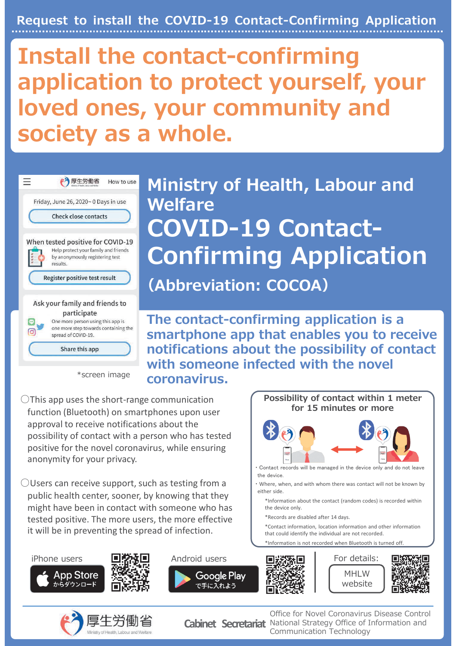Request to install the COVID-19 Contact-Confirming Application

# Install the contact-confirming application to protect yourself, your loved ones, your community and society as a whole.



\*screen image

Ministry of Health, Labour and Welfare COVID-19 Contact-Confirming Application (Abbreviation: COCOA)

The contact-confirming application is a smartphone app that enables you to receive notifications about the possibility of contact with someone infected with the novel coronavirus.

 $\bigcirc$ This app uses the short-range communication function (Bluetooth) on smartphones upon user approval to receive notifications about the possibility of contact with a person who has tested positive for the novel coronavirus, while ensuring anonymity for your privacy.

 $\bigcirc$ Users can receive support, such as testing from a public health center, sooner, by knowing that they might have been in contact with someone who has tested positive. The more users, the more effective it will be in preventing the spread of infection.







Office for Novel Coronavirus Disease Control Cabinet Secretariat National Strategy Office of Information and Communication Technology